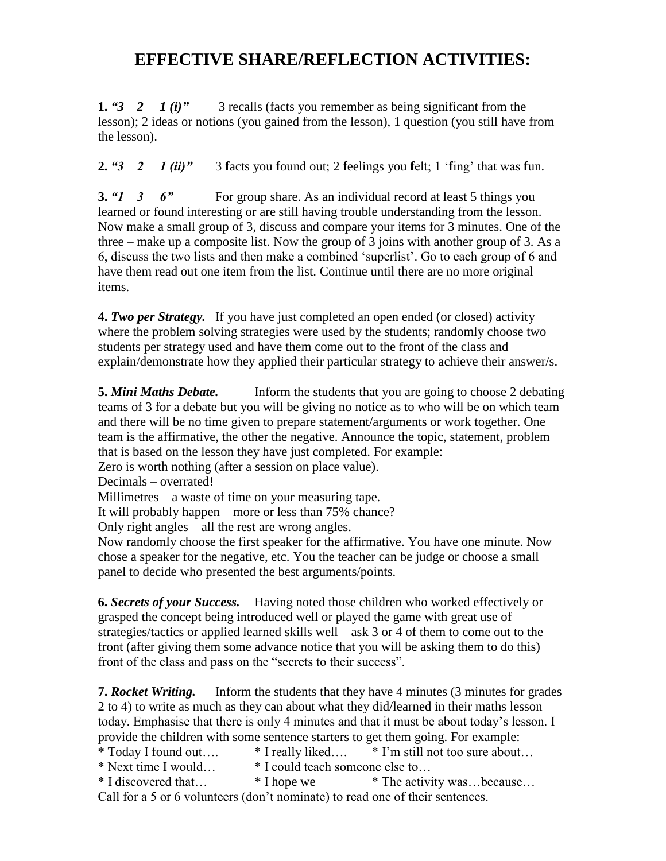## **EFFECTIVE SHARE/REFLECTION ACTIVITIES:**

**1.** *"3 2 1 (i)"* 3 recalls (facts you remember as being significant from the lesson); 2 ideas or notions (you gained from the lesson), 1 question (you still have from the lesson).

**2.** *"3 2 1 (ii)"* 3 **f**acts you **f**ound out; 2 **f**eelings you **f**elt; 1 '**f**ing' that was **f**un.

**3.** *"1* **3 6" For group share. As an individual record at least 5 things you** learned or found interesting or are still having trouble understanding from the lesson. Now make a small group of 3, discuss and compare your items for 3 minutes. One of the three – make up a composite list. Now the group of 3 joins with another group of 3. As a 6, discuss the two lists and then make a combined 'superlist'. Go to each group of 6 and have them read out one item from the list. Continue until there are no more original items.

**4.** *Two per Strategy.* If you have just completed an open ended (or closed) activity where the problem solving strategies were used by the students; randomly choose two students per strategy used and have them come out to the front of the class and explain/demonstrate how they applied their particular strategy to achieve their answer/s.

**5.** *Mini Maths Debate.* Inform the students that you are going to choose 2 debating teams of 3 for a debate but you will be giving no notice as to who will be on which team and there will be no time given to prepare statement/arguments or work together. One team is the affirmative, the other the negative. Announce the topic, statement, problem that is based on the lesson they have just completed. For example:

Zero is worth nothing (after a session on place value).

Decimals – overrated!

Millimetres – a waste of time on your measuring tape.

It will probably happen – more or less than 75% chance?

Only right angles – all the rest are wrong angles.

Now randomly choose the first speaker for the affirmative. You have one minute. Now chose a speaker for the negative, etc. You the teacher can be judge or choose a small panel to decide who presented the best arguments/points.

**6.** *Secrets of your Success.* Having noted those children who worked effectively or grasped the concept being introduced well or played the game with great use of strategies/tactics or applied learned skills well – ask 3 or 4 of them to come out to the front (after giving them some advance notice that you will be asking them to do this) front of the class and pass on the "secrets to their success".

**7.** *Rocket Writing.* Inform the students that they have 4 minutes (3 minutes for grades 2 to 4) to write as much as they can about what they did/learned in their maths lesson today. Emphasise that there is only 4 minutes and that it must be about today's lesson. I provide the children with some sentence starters to get them going. For example:<br>\* Today I found out.... \* I really liked.... \* I'm still not too sure about

- $*$  Today I found out....  $*$  I really liked….  $*$  I'm still not too sure about...
- \* Next time I would… \* I could teach someone else to…

\* I discovered that… \* I hope we \* The activity was…because… Call for a 5 or 6 volunteers (don't nominate) to read one of their sentences.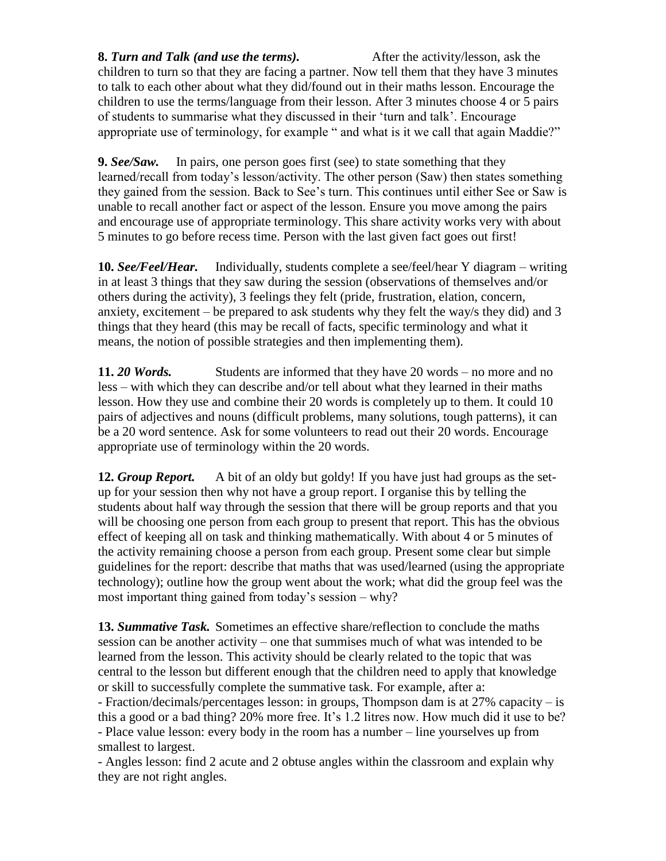**8.** *Turn and Talk (and use the terms).* After the activity/lesson, ask the children to turn so that they are facing a partner. Now tell them that they have 3 minutes to talk to each other about what they did/found out in their maths lesson. Encourage the children to use the terms/language from their lesson. After 3 minutes choose 4 or 5 pairs of students to summarise what they discussed in their 'turn and talk'. Encourage appropriate use of terminology, for example " and what is it we call that again Maddie?"

**9.** *See/Saw.* In pairs, one person goes first (see) to state something that they learned/recall from today's lesson/activity. The other person (Saw) then states something they gained from the session. Back to See's turn. This continues until either See or Saw is unable to recall another fact or aspect of the lesson. Ensure you move among the pairs and encourage use of appropriate terminology. This share activity works very with about 5 minutes to go before recess time. Person with the last given fact goes out first!

**10.** *See/Feel/Hear.* Individually, students complete a see/feel/hear Y diagram – writing in at least 3 things that they saw during the session (observations of themselves and/or others during the activity), 3 feelings they felt (pride, frustration, elation, concern, anxiety, excitement – be prepared to ask students why they felt the way/s they did) and 3 things that they heard (this may be recall of facts, specific terminology and what it means, the notion of possible strategies and then implementing them).

**11.** *20 Words.* Students are informed that they have 20 words – no more and no less – with which they can describe and/or tell about what they learned in their maths lesson. How they use and combine their 20 words is completely up to them. It could 10 pairs of adjectives and nouns (difficult problems, many solutions, tough patterns), it can be a 20 word sentence. Ask for some volunteers to read out their 20 words. Encourage appropriate use of terminology within the 20 words.

**12.** *Group Report.* A bit of an oldy but goldy! If you have just had groups as the setup for your session then why not have a group report. I organise this by telling the students about half way through the session that there will be group reports and that you will be choosing one person from each group to present that report. This has the obvious effect of keeping all on task and thinking mathematically. With about 4 or 5 minutes of the activity remaining choose a person from each group. Present some clear but simple guidelines for the report: describe that maths that was used/learned (using the appropriate technology); outline how the group went about the work; what did the group feel was the most important thing gained from today's session – why?

**13.** *Summative Task.* Sometimes an effective share/reflection to conclude the maths session can be another activity – one that summises much of what was intended to be learned from the lesson. This activity should be clearly related to the topic that was central to the lesson but different enough that the children need to apply that knowledge or skill to successfully complete the summative task. For example, after a:

- Fraction/decimals/percentages lesson: in groups, Thompson dam is at 27% capacity – is this a good or a bad thing? 20% more free. It's 1.2 litres now. How much did it use to be? - Place value lesson: every body in the room has a number – line yourselves up from smallest to largest.

- Angles lesson: find 2 acute and 2 obtuse angles within the classroom and explain why they are not right angles.